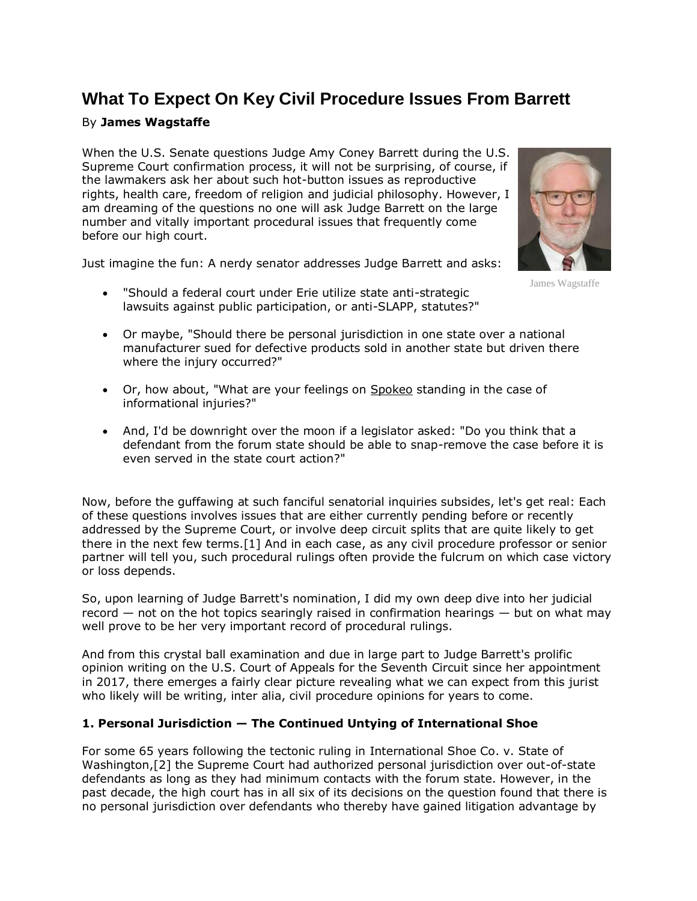# **What To Expect On Key Civil Procedure Issues From Barrett**

# By **James Wagstaffe**

When the [U.S. Senate](https://www.law360.com/agencies/u-s-senate) questions Judge Amy Coney Barrett during the [U.S.](https://www.law360.com/agencies/u-s-supreme-court)  [Supreme Court](https://www.law360.com/agencies/u-s-supreme-court) confirmation process, it will not be surprising, of course, if the lawmakers ask her about such hot-button issues as reproductive rights, health care, freedom of religion and judicial philosophy. However, I am dreaming of the questions no one will ask Judge Barrett on the large number and vitally important procedural issues that frequently come before our high court.

Just imagine the fun: A nerdy senator addresses Judge Barrett and asks:



James Wagstaffe

- "Should a federal court under Erie utilize state anti-strategic lawsuits against public participation, or anti-SLAPP, statutes?"
- Or maybe, "Should there be personal jurisdiction in one state over a national manufacturer sued for defective products sold in another state but driven there where the injury occurred?"
- Or, how about, "What are your feelings on [Spokeo](https://www.law360.com/companies/spokeo-inc) standing in the case of informational injuries?"
- And, I'd be downright over the moon if a legislator asked: "Do you think that a defendant from the forum state should be able to snap-remove the case before it is even served in the state court action?"

Now, before the guffawing at such fanciful senatorial inquiries subsides, let's get real: Each of these questions involves issues that are either currently pending before or recently addressed by the Supreme Court, or involve deep circuit splits that are quite likely to get there in the next few terms.[1] And in each case, as any civil procedure professor or senior partner will tell you, such procedural rulings often provide the fulcrum on which case victory or loss depends.

So, upon learning of Judge Barrett's nomination, I did my own deep dive into her judicial record  $-$  not on the hot topics searingly raised in confirmation hearings  $-$  but on what may well prove to be her very important record of procedural rulings.

And from this crystal ball examination and due in large part to Judge Barrett's prolific opinion writing on the [U.S. Court of Appeals for the Seventh Circuit](https://www.law360.com/agencies/u-s-court-of-appeals-for-the-seventh-circuit) since her appointment in 2017, there emerges a fairly clear picture revealing what we can expect from this jurist who likely will be writing, inter alia, civil procedure opinions for years to come.

#### **1. Personal Jurisdiction — The Continued Untying of International Shoe**

For some 65 years following the tectonic ruling in [International Shoe Co.](https://www.law360.com/companies/international-shoe-co) v. State of Washington,[2] the Supreme Court had authorized personal jurisdiction over out-of-state defendants as long as they had minimum contacts with the forum state. However, in the past decade, the high court has in all six of its decisions on the question found that there is no personal jurisdiction over defendants who thereby have gained litigation advantage by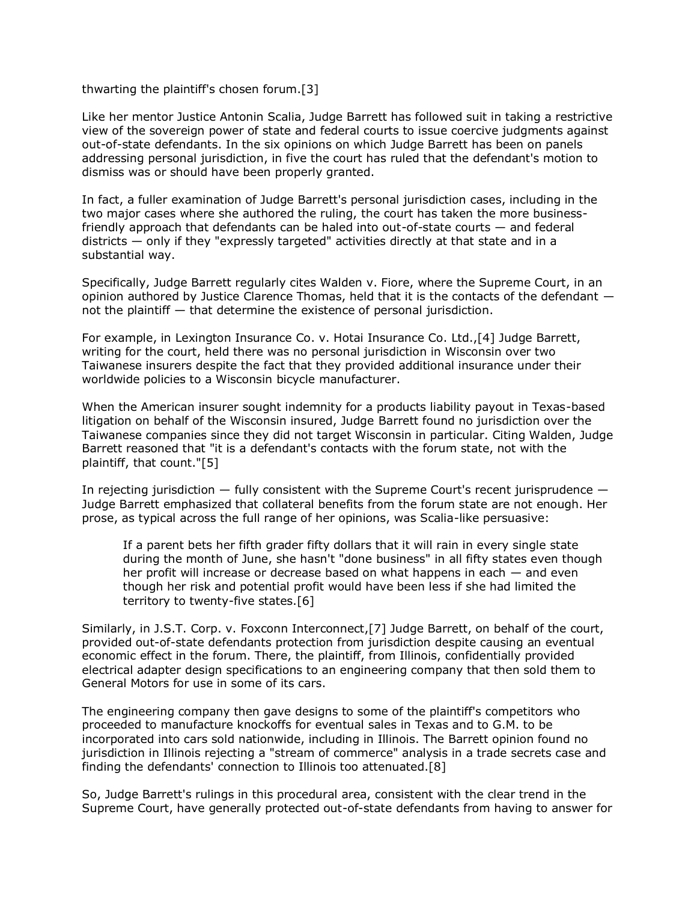thwarting the plaintiff's chosen forum.[3]

Like her mentor Justice Antonin Scalia, Judge Barrett has followed suit in taking a restrictive view of the sovereign power of state and federal courts to issue coercive judgments against out-of-state defendants. In the six opinions on which Judge Barrett has been on panels addressing personal jurisdiction, in five the court has ruled that the defendant's motion to dismiss was or should have been properly granted.

In fact, a fuller examination of Judge Barrett's personal jurisdiction cases, including in the two major cases where she authored the ruling, the court has taken the more businessfriendly approach that defendants can be haled into out-of-state courts — and federal districts  $-$  only if they "expressly targeted" activities directly at that state and in a substantial way.

Specifically, Judge Barrett regularly cites Walden v. Fiore, where the Supreme Court, in an opinion authored by Justice Clarence Thomas, held that it is the contacts of the defendant not the plaintiff — that determine the existence of personal jurisdiction.

For example, in [Lexington Insurance Co.](https://www.law360.com/companies/lexington-insurance-co) v. Hotai Insurance Co. Ltd.,[4] Judge Barrett, writing for the court, held there was no personal jurisdiction in Wisconsin over two Taiwanese insurers despite the fact that they provided additional insurance under their worldwide policies to a Wisconsin bicycle manufacturer.

When the American insurer sought indemnity for a products liability payout in Texas-based litigation on behalf of the Wisconsin insured, Judge Barrett found no jurisdiction over the Taiwanese companies since they did not target Wisconsin in particular. Citing Walden, Judge Barrett reasoned that "it is a defendant's contacts with the forum state, not with the plaintiff, that count."[5]

In rejecting jurisdiction  $-$  fully consistent with the Supreme Court's recent jurisprudence  $-$ Judge Barrett emphasized that collateral benefits from the forum state are not enough. Her prose, as typical across the full range of her opinions, was Scalia-like persuasive:

If a parent bets her fifth grader fifty dollars that it will rain in every single state during the month of June, she hasn't "done business" in all fifty states even though her profit will increase or decrease based on what happens in each — and even though her risk and potential profit would have been less if she had limited the territory to twenty-five states.[6]

Similarly, in J.S.T. Corp. v. [Foxconn Interconnect,](https://www.law360.com/companies/foxconn)[7] Judge Barrett, on behalf of the court, provided out-of-state defendants protection from jurisdiction despite causing an eventual economic effect in the forum. There, the plaintiff, from Illinois, confidentially provided electrical adapter design specifications to an engineering company that then sold them to General Motors for use in some of its cars.

The engineering company then gave designs to some of the plaintiff's competitors who proceeded to manufacture knockoffs for eventual sales in Texas and to G.M. to be incorporated into cars sold nationwide, including in Illinois. The Barrett opinion found no jurisdiction in Illinois rejecting a "stream of commerce" analysis in a trade secrets case and finding the defendants' connection to Illinois too attenuated.[8]

So, Judge Barrett's rulings in this procedural area, consistent with the clear trend in the Supreme Court, have generally protected out-of-state defendants from having to answer for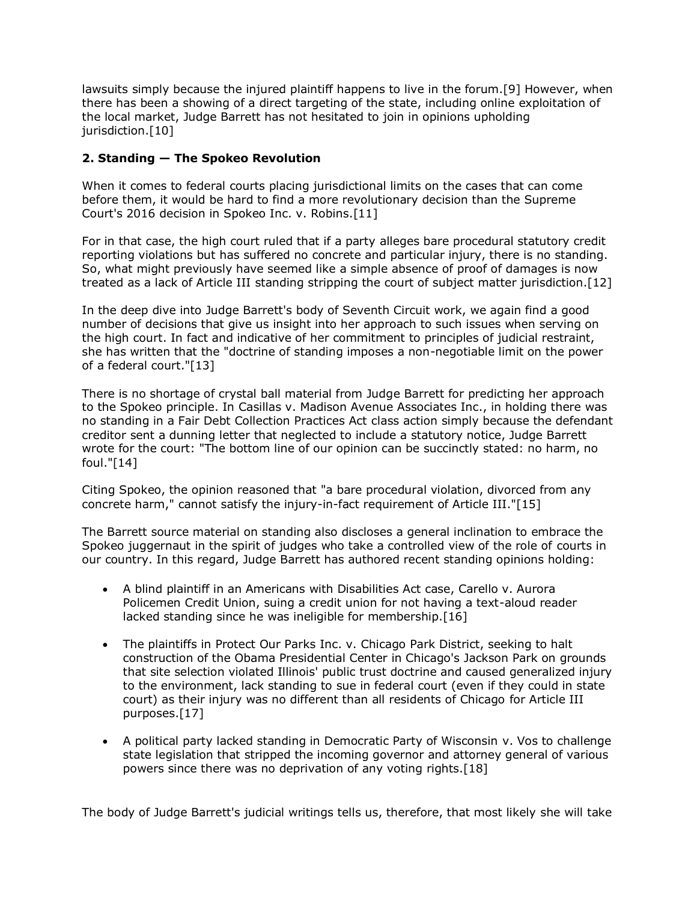lawsuits simply because the injured plaintiff happens to live in the forum.[9] However, when there has been a showing of a direct targeting of the state, including online exploitation of the local market, Judge Barrett has not hesitated to join in opinions upholding jurisdiction.<sup>[10]</sup>

# **2. Standing — The Spokeo Revolution**

When it comes to federal courts placing jurisdictional limits on the cases that can come before them, it would be hard to find a more revolutionary decision than the Supreme Court's 2016 decision in Spokeo Inc. v. Robins.[11]

For in that case, the high court ruled that if a party alleges bare procedural statutory credit reporting violations but has suffered no concrete and particular injury, there is no standing. So, what might previously have seemed like a simple absence of proof of damages is now treated as a lack of Article III standing stripping the court of subject matter jurisdiction.[12]

In the deep dive into Judge Barrett's body of Seventh Circuit work, we again find a good number of decisions that give us insight into her approach to such issues when serving on the high court. In fact and indicative of her commitment to principles of judicial restraint, she has written that the "doctrine of standing imposes a non-negotiable limit on the power of a federal court."[13]

There is no shortage of crystal ball material from Judge Barrett for predicting her approach to the Spokeo principle. In Casillas v. Madison Avenue Associates Inc., in holding there was no standing in a Fair Debt Collection Practices Act class action simply because the defendant creditor sent a dunning letter that neglected to include a statutory notice, Judge Barrett wrote for the court: "The bottom line of our opinion can be succinctly stated: no harm, no foul."[14]

Citing Spokeo, the opinion reasoned that "a bare procedural violation, divorced from any concrete harm," cannot satisfy the injury-in-fact requirement of Article III."[15]

The Barrett source material on standing also discloses a general inclination to embrace the Spokeo juggernaut in the spirit of judges who take a controlled view of the role of courts in our country. In this regard, Judge Barrett has authored recent standing opinions holding:

- A blind plaintiff in an Americans with Disabilities Act case, Carello v. Aurora Policemen Credit Union, suing a credit union for not having a text-aloud reader lacked standing since he was ineligible for membership.[16]
- The plaintiffs in Protect Our Parks Inc. v. Chicago Park District, seeking to halt construction of the Obama Presidential Center in Chicago's Jackson Park on grounds that site selection violated Illinois' public trust doctrine and caused generalized injury to the environment, lack standing to sue in federal court (even if they could in state court) as their injury was no different than all residents of Chicago for Article III purposes.[17]
- A political party lacked standing in Democratic Party of Wisconsin v. Vos to challenge state legislation that stripped the incoming governor and attorney general of various powers since there was no deprivation of any voting rights.[18]

The body of Judge Barrett's judicial writings tells us, therefore, that most likely she will take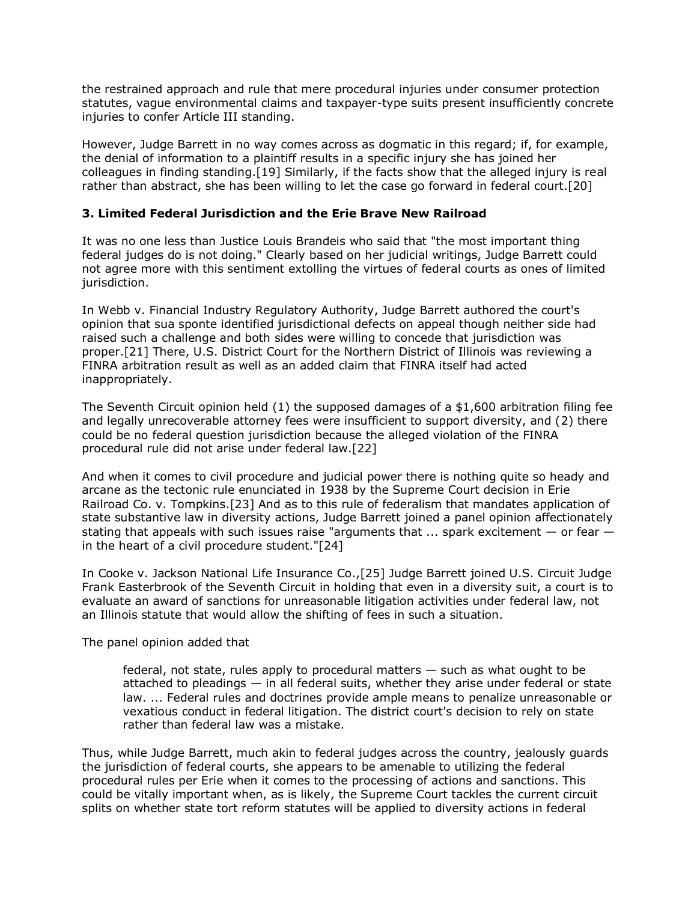the restrained approach and rule that mere procedural injuries under consumer protection statutes, vague environmental claims and taxpayer-type suits present insufficiently concrete injuries to confer Article III standing.

However, Judge Barrett in no way comes across as dogmatic in this regard; if, for example, the denial of information to a plaintiff results in a specific injury she has joined her colleagues in finding standing.[19] Similarly, if the facts show that the alleged injury is real rather than abstract, she has been willing to let the case go forward in federal court.[20]

#### **3. Limited Federal Jurisdiction and the Erie Brave New Railroad**

It was no one less than Justice Louis Brandeis who said that "the most important thing federal judges do is not doing." Clearly based on her judicial writings, Judge Barrett could not agree more with this sentiment extolling the virtues of federal courts as ones of limited jurisdiction.

In Webb v. [Financial Industry Regulatory Authority,](https://www.law360.com/companies/financial-industry-regulatory-authority-inc) Judge Barrett authored the court's opinion that sua sponte identified jurisdictional defects on appeal though neither side had raised such a challenge and both sides were willing to concede that jurisdiction was proper.[21] There, [U.S. District Court for the Northern District of Illinois](https://www.law360.com/agencies/u-s-district-court-for-the-northern-district-of-illinois) was reviewing a FINRA arbitration result as well as an added claim that FINRA itself had acted inappropriately.

The Seventh Circuit opinion held (1) the supposed damages of a \$1,600 arbitration filing fee and legally unrecoverable attorney fees were insufficient to support diversity, and (2) there could be no federal question jurisdiction because the alleged violation of the FINRA procedural rule did not arise under federal law.[22]

And when it comes to civil procedure and judicial power there is nothing quite so heady and arcane as the tectonic rule enunciated in 1938 by the Supreme Court decision in Erie Railroad Co. v. Tompkins.[23] And as to this rule of federalism that mandates application of state substantive law in diversity actions, Judge Barrett joined a panel opinion affectionately stating that appeals with such issues raise "arguments that  $\ldots$  spark excitement  $-$  or fear  $$ in the heart of a civil procedure student."[24]

In Cooke v. [Jackson National Life Insurance Co.](https://www.law360.com/companies/jackson-national-life-insurance-co),[25] Judge Barrett joined U.S. Circuit Judge Frank Easterbrook of the Seventh Circuit in holding that even in a diversity suit, a court is to evaluate an award of sanctions for unreasonable litigation activities under federal law, not an Illinois statute that would allow the shifting of fees in such a situation.

The panel opinion added that

federal, not state, rules apply to procedural matters — such as what ought to be attached to pleadings — in all federal suits, whether they arise under federal or state law. ... Federal rules and doctrines provide ample means to penalize unreasonable or vexatious conduct in federal litigation. The district court's decision to rely on state rather than federal law was a mistake.

Thus, while Judge Barrett, much akin to federal judges across the country, jealously guards the jurisdiction of federal courts, she appears to be amenable to utilizing the federal procedural rules per Erie when it comes to the processing of actions and sanctions. This could be vitally important when, as is likely, the Supreme Court tackles the current circuit splits on whether state tort reform statutes will be applied to diversity actions in federal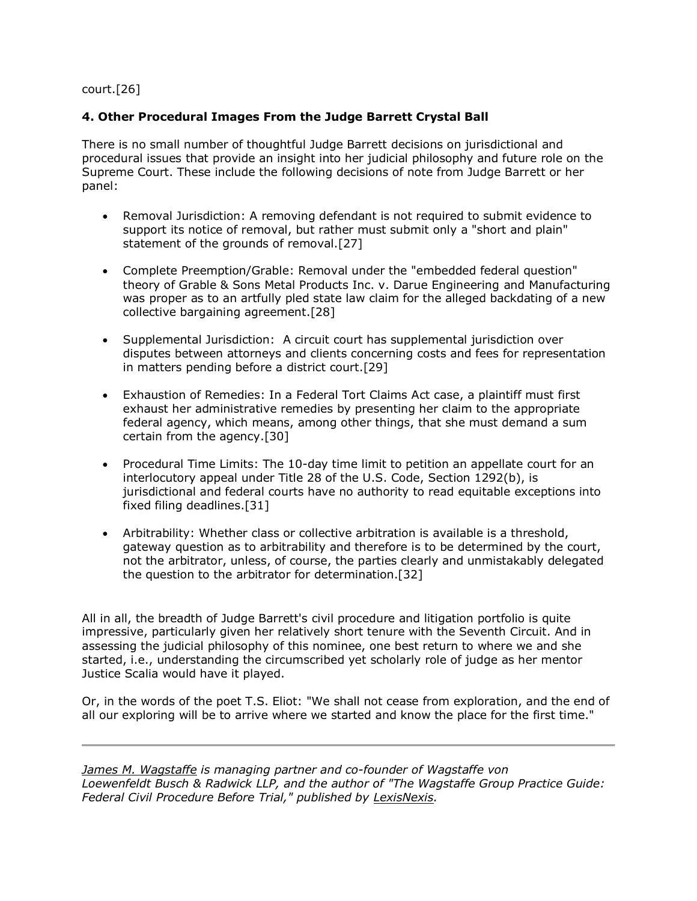court.[26]

# **4. Other Procedural Images From the Judge Barrett Crystal Ball**

There is no small number of thoughtful Judge Barrett decisions on jurisdictional and procedural issues that provide an insight into her judicial philosophy and future role on the Supreme Court. These include the following decisions of note from Judge Barrett or her panel:

- Removal Jurisdiction: A removing defendant is not required to submit evidence to support its notice of removal, but rather must submit only a "short and plain" statement of the grounds of removal.[27]
- Complete Preemption/Grable: Removal under the "embedded federal question" theory of Grable & Sons Metal Products Inc. v. Darue Engineering and Manufacturing was proper as to an artfully pled state law claim for the alleged backdating of a new collective bargaining agreement.[28]
- Supplemental Jurisdiction: A circuit court has supplemental jurisdiction over disputes between attorneys and clients concerning costs and fees for representation in matters pending before a district court.[29]
- Exhaustion of Remedies: In a Federal Tort Claims Act case, a plaintiff must first exhaust her administrative remedies by presenting her claim to the appropriate federal agency, which means, among other things, that she must demand a sum certain from the agency.[30]
- Procedural Time Limits: The 10-day time limit to petition an appellate court for an interlocutory appeal under Title 28 of the U.S. Code, Section 1292(b), is jurisdictional and federal courts have no authority to read equitable exceptions into fixed filing deadlines.[31]
- Arbitrability: Whether class or collective arbitration is available is a threshold, gateway question as to arbitrability and therefore is to be determined by the court, not the arbitrator, unless, of course, the parties clearly and unmistakably delegated the question to the arbitrator for determination.[32]

All in all, the breadth of Judge Barrett's civil procedure and litigation portfolio is quite impressive, particularly given her relatively short tenure with the Seventh Circuit. And in assessing the judicial philosophy of this nominee, one best return to where we and she started, i.e., understanding the circumscribed yet scholarly role of judge as her mentor Justice Scalia would have it played.

Or, in the words of the poet T.S. Eliot: "We shall not cease from exploration, and the end of all our exploring will be to arrive where we started and know the place for the first time."

*[James M. Wagstaffe](https://wvbrlaw.com/team_member/james-m-wagstaffe/) is managing partner and co-founder of Wagstaffe von Loewenfeldt Busch & Radwick LLP, and the author of "The Wagstaffe Group Practice Guide: Federal Civil Procedure Before Trial," published by [LexisNexis.](https://www.law360.com/companies/lexisnexis-group)*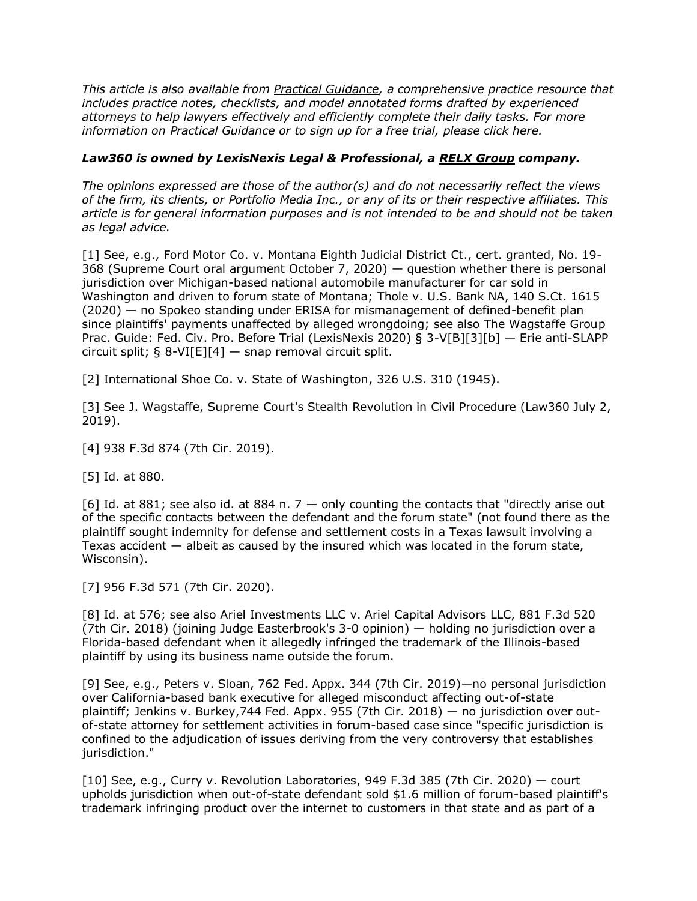*This article is also available from [Practical Guidance,](https://www.lexisnexis.com/en-us/products/practical-guidance.page) a comprehensive practice resource that includes practice notes, checklists, and model annotated forms drafted by experienced attorneys to help lawyers effectively and efficiently complete their daily tasks. For more information on Practical Guidance or to sign up for a free trial, please [click here.](https://www.lexisnexis.com/en-us/products/practical-guidance.page)*

#### *Law360 is owned by LexisNexis Legal & Professional, a [RELX Group](https://www.law360.com/companies/relx-plc) company.*

*The opinions expressed are those of the author(s) and do not necessarily reflect the views of the firm, its clients, or Portfolio Media Inc., or any of its or their respective affiliates. This article is for general information purposes and is not intended to be and should not be taken as legal advice.*

[1] See, e.g., [Ford Motor Co.](https://www.law360.com/companies/ford-motor-co) v. Montana Eighth Judicial District Ct., cert. granted, No. 19- 368 (Supreme Court oral argument October 7, 2020) — question whether there is personal jurisdiction over Michigan-based national automobile manufacturer for car sold in Washington and driven to forum state of Montana; Thole v. [U.S. Bank NA,](https://www.law360.com/companies/u-s-bancorp) 140 S.Ct. 1615 (2020) — no Spokeo standing under ERISA for mismanagement of defined-benefit plan since plaintiffs' payments unaffected by alleged wrongdoing; see also The Wagstaffe Group Prac. Guide: Fed. Civ. Pro. Before Trial (LexisNexis 2020) § 3-V[B][3][b] — Erie anti-SLAPP circuit split;  $\S 8-VI[El[4]$  — snap removal circuit split.

[2] International Shoe Co. v. State of Washington, 326 U.S. 310 (1945).

[3] See J. Wagstaffe, Supreme Court's Stealth Revolution in Civil Procedure (Law360 July 2, 2019).

[4] 938 F.3d 874 (7th Cir. 2019).

[5] Id. at 880.

[6] Id. at 881; see also id. at 884 n.  $7 -$  only counting the contacts that "directly arise out of the specific contacts between the defendant and the forum state" (not found there as the plaintiff sought indemnity for defense and settlement costs in a Texas lawsuit involving a Texas accident  $-$  albeit as caused by the insured which was located in the forum state, Wisconsin).

[7] 956 F.3d 571 (7th Cir. 2020).

[8] Id. at 576; see also [Ariel Investments LLC](https://www.law360.com/companies/ariel-investments-llc) v. Ariel Capital [Advisors LLC,](https://www.law360.com/firms/advisors-llc) 881 F.3d 520 (7th Cir. 2018) (joining Judge Easterbrook's 3-0 opinion) — holding no jurisdiction over a Florida-based defendant when it allegedly infringed the trademark of the Illinois-based plaintiff by using its business name outside the forum.

[9] See, e.g., Peters v. Sloan, 762 Fed. Appx. 344 (7th Cir. 2019)—no personal jurisdiction over California-based bank executive for alleged misconduct affecting out-of-state plaintiff; Jenkins v. Burkey,744 Fed. Appx. 955 (7th Cir. 2018) — no jurisdiction over outof-state attorney for settlement activities in forum-based case since "specific jurisdiction is confined to the adjudication of issues deriving from the very controversy that establishes jurisdiction."

[10] See, e.g., Curry v. Revolution Laboratories, 949 F.3d 385 (7th Cir. 2020) — court upholds jurisdiction when out-of-state defendant sold \$1.6 million of forum-based plaintiff's trademark infringing product over the internet to customers in that state and as part of a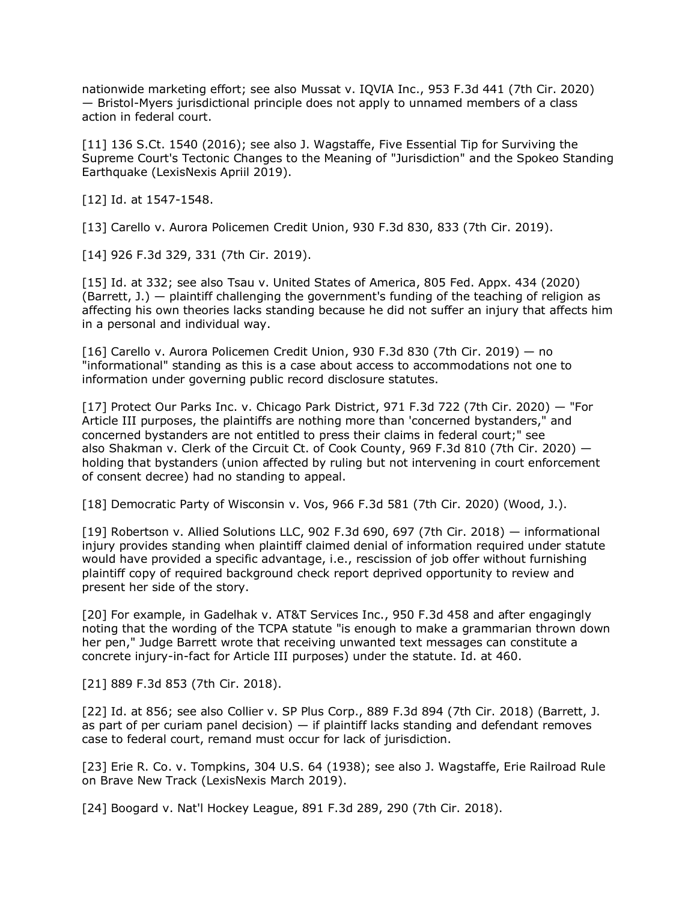nationwide marketing effort; see also Mussat v. [IQVIA Inc.](https://www.law360.com/companies/iqvia-holdings-inc), 953 F.3d 441 (7th Cir. 2020) — [Bristol-Myers](https://www.law360.com/companies/bristol-myers-squibb-co) jurisdictional principle does not apply to unnamed members of a class action in federal court.

[11] 136 S.Ct. 1540 (2016); see also J. Wagstaffe, Five Essential Tip for Surviving the Supreme Court's Tectonic Changes to the Meaning of "Jurisdiction" and the Spokeo Standing Earthquake (LexisNexis Apriil 2019).

[12] Id. at 1547-1548.

[13] Carello v. Aurora Policemen Credit Union, 930 F.3d 830, 833 (7th Cir. 2019).

[14] 926 F.3d 329, 331 (7th Cir. 2019).

[15] Id. at 332; see also Tsau v. United States of America, 805 Fed. Appx. 434 (2020) (Barrett,  $J.$ ) — plaintiff challenging the government's funding of the teaching of religion as affecting his own theories lacks standing because he did not suffer an injury that affects him in a personal and individual way.

[16] Carello v. Aurora Policemen Credit Union, 930 F.3d 830 (7th Cir. 2019) — no "informational" standing as this is a case about access to accommodations not one to information under governing public record disclosure statutes.

[17] Protect Our Parks Inc. v. Chicago Park District, 971 F.3d 722 (7th Cir. 2020) — "For Article III purposes, the plaintiffs are nothing more than 'concerned bystanders," and concerned bystanders are not entitled to press their claims in federal court;" see also Shakman v. Clerk of the Circuit Ct. of Cook County, 969 F.3d 810 (7th Cir. 2020)  $$ holding that bystanders (union affected by ruling but not intervening in court enforcement of consent decree) had no standing to appeal.

[18] Democratic Party of Wisconsin v. Vos, 966 F.3d 581 (7th Cir. 2020) (Wood, J.).

[19] Robertson v. [Allied Solutions LLC,](https://www.law360.com/companies/allied-solutions-llc) 902 F.3d 690, 697 (7th Cir. 2018) — informational injury provides standing when plaintiff claimed denial of information required under statute would have provided a specific advantage, i.e., rescission of job offer without furnishing plaintiff copy of required background check report deprived opportunity to review and present her side of the story.

[20] For example, in Gadelhak v. AT&T Services Inc., 950 F.3d 458 and after engagingly noting that the wording of the TCPA statute "is enough to make a grammarian thrown down her pen," Judge Barrett wrote that receiving unwanted text messages can constitute a concrete injury-in-fact for Article III purposes) under the statute. Id. at 460.

[21] 889 F.3d 853 (7th Cir. 2018).

[22] Id. at 856; see also Collier v. SP Plus Corp., 889 F.3d 894 (7th Cir. 2018) (Barrett, J. as part of per curiam panel decision)  $-$  if plaintiff lacks standing and defendant removes case to federal court, remand must occur for lack of jurisdiction.

[23] Erie R. Co. v. Tompkins, 304 U.S. 64 (1938); see also J. Wagstaffe, Erie Railroad Rule on Brave New Track (LexisNexis March 2019).

[24] Boogard v. Nat'l Hockey League, 891 F.3d 289, 290 (7th Cir. 2018).